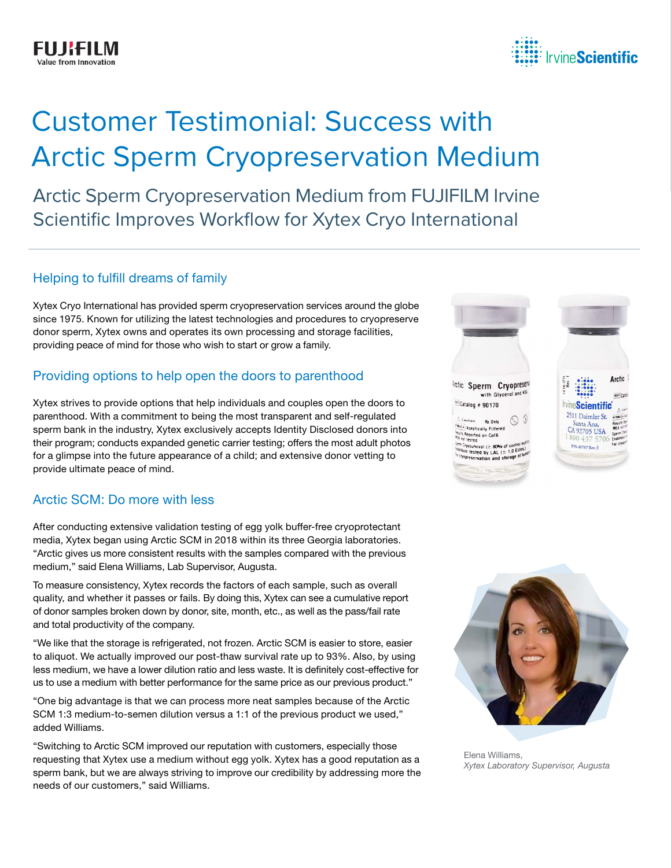

# Customer Testimonial: Success with Arctic Sperm Cryopreservation Medium

Arctic Sperm Cryopreservation Medium from FUJIFILM Irvine Scientific Improves Workflow for Xytex Cryo International

#### Helping to fulfill dreams of family

Xytex Cryo International has provided sperm cryopreservation services around the globe since 1975. Known for utilizing the latest technologies and procedures to cryopreserve donor sperm, Xytex owns and operates its own processing and storage facilities, providing peace of mind for those who wish to start or grow a family.

#### Providing options to help open the doors to parenthood

Xytex strives to provide options that help individuals and couples open the doors to parenthood. With a commitment to being the most transparent and self-regulated sperm bank in the industry, Xytex exclusively accepts Identity Disclosed donors into their program; conducts expanded genetic carrier testing; offers the most adult photos for a glimpse into the future appearance of a child; and extensive donor vetting to provide ultimate peace of mind.

## Arctic SCM: Do more with less

After conducting extensive validation testing of egg yolk buffer-free cryoprotectant media, Xytex began using Arctic SCM in 2018 within its three Georgia laboratories. "Arctic gives us more consistent results with the samples compared with the previous medium," said Elena Williams, Lab Supervisor, Augusta.

To measure consistency, Xytex records the factors of each sample, such as overall quality, and whether it passes or fails. By doing this, Xytex can see a cumulative report of donor samples broken down by donor, site, month, etc., as well as the pass/fail rate and total productivity of the company.

"We like that the storage is refrigerated, not frozen. Arctic SCM is easier to store, easier to aliquot. We actually improved our post-thaw survival rate up to 93%. Also, by using less medium, we have a lower dilution ratio and less waste. It is definitely cost-effective for us to use a medium with better performance for the same price as our previous product."

"One big advantage is that we can process more neat samples because of the Arctic SCM 1:3 medium-to-semen dilution versus a 1:1 of the previous product we used," added Williams.

"Switching to Arctic SCM improved our reputation with customers, especially those requesting that Xytex use a medium without egg yolk. Xytex has a good reputation as a sperm bank, but we are always striving to improve our credibility by addressing more the needs of our customers," said Williams.





Elena Williams, *Xytex Laboratory Supervisor, Augusta*